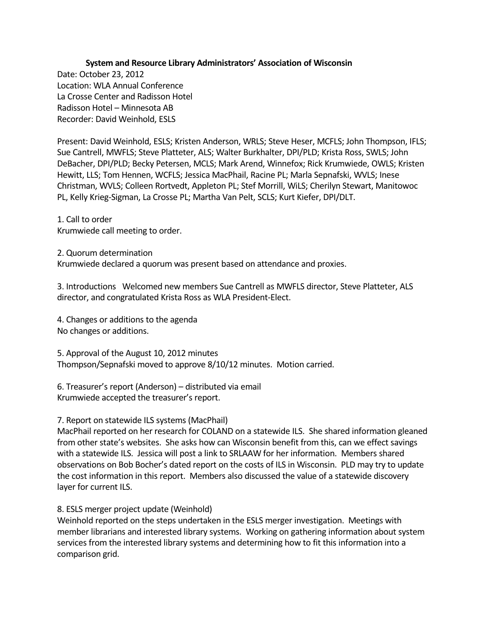## **System and Resource Library Administrators' Association of Wisconsin**

Date: October 23, 2012 Location: WLA Annual Conference La Crosse Center and Radisson Hotel Radisson Hotel – Minnesota AB Recorder: David Weinhold, ESLS

Present: David Weinhold, ESLS; Kristen Anderson, WRLS; Steve Heser, MCFLS; John Thompson, IFLS; Sue Cantrell, MWFLS; Steve Platteter, ALS; Walter Burkhalter, DPI/PLD; Krista Ross, SWLS; John DeBacher, DPI/PLD; Becky Petersen, MCLS; Mark Arend, Winnefox; Rick Krumwiede, OWLS; Kristen Hewitt, LLS; Tom Hennen, WCFLS; Jessica MacPhail, Racine PL; Marla Sepnafski, WVLS; Inese Christman, WVLS; Colleen Rortvedt, Appleton PL; Stef Morrill, WiLS; Cherilyn Stewart, Manitowoc PL, Kelly Krieg-Sigman, La Crosse PL; Martha Van Pelt, SCLS; Kurt Kiefer, DPI/DLT.

1. Call to order Krumwiede call meeting to order.

2. Quorum determination Krumwiede declared a quorum was present based on attendance and proxies.

3. Introductions Welcomed new members Sue Cantrell as MWFLS director, Steve Platteter, ALS director, and congratulated Krista Ross as WLA President-Elect.

4. Changes or additions to the agenda No changes or additions.

5. Approval of the August 10, 2012 minutes Thompson/Sepnafski moved to approve 8/10/12 minutes. Motion carried.

6. Treasurer's report (Anderson) – distributed via email Krumwiede accepted the treasurer's report.

## 7. Report on statewide ILS systems (MacPhail)

MacPhail reported on her research for COLAND on a statewide ILS. She shared information gleaned from other state's websites. She asks how can Wisconsin benefit from this, can we effect savings with a statewide ILS. Jessica will post a link to SRLAAW for her information. Members shared observations on Bob Bocher's dated report on the costs of ILS in Wisconsin. PLD may try to update the cost information in this report. Members also discussed the value of a statewide discovery layer for current ILS.

## 8. ESLS merger project update (Weinhold)

Weinhold reported on the steps undertaken in the ESLS merger investigation. Meetings with member librarians and interested library systems. Working on gathering information about system services from the interested library systems and determining how to fit this information into a comparison grid.